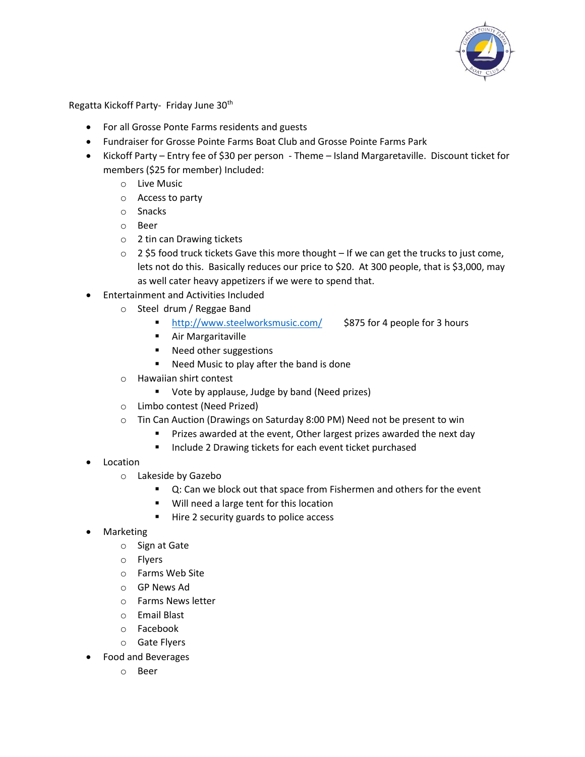

Regatta Kickoff Party- Friday June 30<sup>th</sup>

- For all Grosse Ponte Farms residents and guests
- Fundraiser for Grosse Pointe Farms Boat Club and Grosse Pointe Farms Park
- Kickoff Party Entry fee of \$30 per person Theme Island Margaretaville. Discount ticket for members (\$25 for member) Included:
	- o Live Music
	- o Access to party
	- o Snacks
	- o Beer
	- o 2 tin can Drawing tickets
	- $\circ$  2 \$5 food truck tickets Gave this more thought If we can get the trucks to just come, lets not do this. Basically reduces our price to \$20. At 300 people, that is \$3,000, may as well cater heavy appetizers if we were to spend that.
- Entertainment and Activities Included
	- o Steel drum / Reggae Band
		- <http://www.steelworksmusic.com/> \$875 for 4 people for 3 hours
		- Air Margaritaville
		- Need other suggestions
		- Need Music to play after the band is done
	- o Hawaiian shirt contest
		- Vote by applause, Judge by band (Need prizes)
	- o Limbo contest (Need Prized)
	- o Tin Can Auction (Drawings on Saturday 8:00 PM) Need not be present to win
		- Prizes awarded at the event, Other largest prizes awarded the next day
		- Include 2 Drawing tickets for each event ticket purchased
- **Location** 
	- o Lakeside by Gazebo
		- Q: Can we block out that space from Fishermen and others for the event
		- Will need a large tent for this location
		- Hire 2 security guards to police access
- **Marketing** 
	- o Sign at Gate
	- o Flyers
	- o Farms Web Site
	- o GP News Ad
	- o Farms News letter
	- o Email Blast
	- o Facebook
	- o Gate Flyers
- Food and Beverages
	- o Beer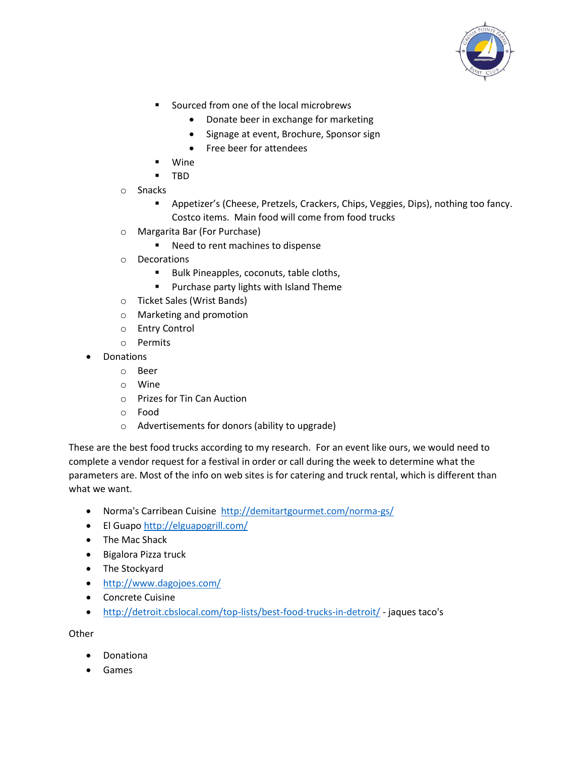

- Sourced from one of the local microbrews
	- Donate beer in exchange for marketing
	- Signage at event, Brochure, Sponsor sign
	- Free beer for attendees
- **Wine**
- TBD.
- o Snacks
	- Appetizer's (Cheese, Pretzels, Crackers, Chips, Veggies, Dips), nothing too fancy. Costco items. Main food will come from food trucks
- o Margarita Bar (For Purchase)
	- Need to rent machines to dispense
- o Decorations
	- Bulk Pineapples, coconuts, table cloths,
	- Purchase party lights with Island Theme
- o Ticket Sales (Wrist Bands)
- o Marketing and promotion
- o Entry Control
- o Permits
- Donations
	- o Beer
	- o Wine
	- o Prizes for Tin Can Auction
	- o Food
	- o Advertisements for donors (ability to upgrade)

These are the best food trucks according to my research. For an event like ours, we would need to complete a vendor request for a festival in order or call during the week to determine what the parameters are. Most of the info on web sites is for catering and truck rental, which is different than what we want.

- Norma's Carribean Cuisine <http://demitartgourmet.com/norma-gs/>
- El Guap[o http://elguapogrill.com/](http://elguapogrill.com/)
- The Mac Shack
- Bigalora Pizza truck
- The Stockyard
- <http://www.dagojoes.com/>
- Concrete Cuisine
- <http://detroit.cbslocal.com/top-lists/best-food-trucks-in-detroit/> jaques taco's

**Other** 

- Donationa
- Games